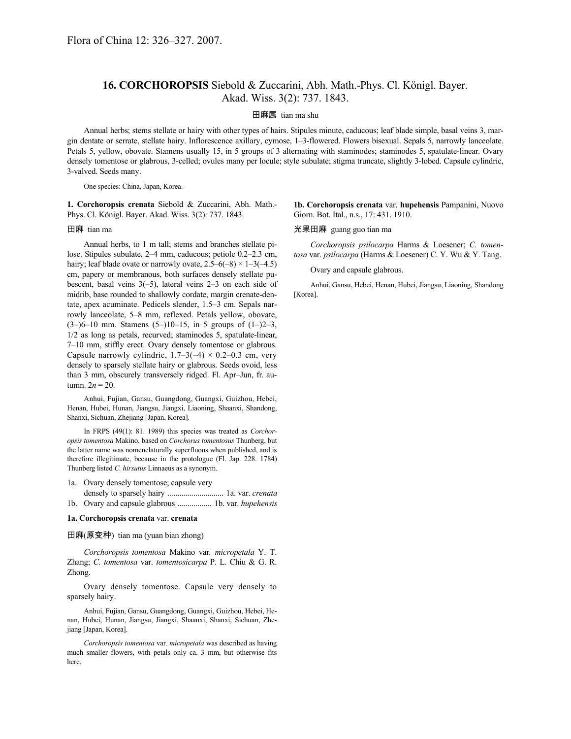# **16. CORCHOROPSIS** Siebold & Zuccarini, Abh. Math.-Phys. Cl. Königl. Bayer. Akad. Wiss. 3(2): 737. 1843.

# 田麻属 tian ma shu

Annual herbs; stems stellate or hairy with other types of hairs. Stipules minute, caducous; leaf blade simple, basal veins 3, margin dentate or serrate, stellate hairy. Inflorescence axillary, cymose, 1–3-flowered. Flowers bisexual. Sepals 5, narrowly lanceolate. Petals 5, yellow, obovate. Stamens usually 15, in 5 groups of 3 alternating with staminodes; staminodes 5, spatulate-linear. Ovary densely tomentose or glabrous, 3-celled; ovules many per locule; style subulate; stigma truncate, slightly 3-lobed. Capsule cylindric, 3-valved. Seeds many.

One species: China, Japan, Korea.

**1. Corchoropsis crenata** Siebold & Zuccarini, Abh. Math.- Phys. Cl. Königl. Bayer. Akad. Wiss. 3(2): 737. 1843.

### 田麻 tian ma

Annual herbs, to 1 m tall; stems and branches stellate pilose. Stipules subulate, 2–4 mm, caducous; petiole 0.2–2.3 cm, hairy; leaf blade ovate or narrowly ovate,  $2.5-6(-8) \times 1-3(-4.5)$ cm, papery or membranous, both surfaces densely stellate pubescent, basal veins 3(–5), lateral veins 2–3 on each side of midrib, base rounded to shallowly cordate, margin crenate-dentate, apex acuminate. Pedicels slender, 1.5–3 cm. Sepals narrowly lanceolate, 5–8 mm, reflexed. Petals yellow, obovate,  $(3–)6–10$  mm. Stamens  $(5–)10–15$ , in 5 groups of  $(1–)2–3$ , 1/2 as long as petals, recurved; staminodes 5, spatulate-linear, 7–10 mm, stiffly erect. Ovary densely tomentose or glabrous. Capsule narrowly cylindric,  $1.7-3(-4) \times 0.2-0.3$  cm, very densely to sparsely stellate hairy or glabrous. Seeds ovoid, less than 3 mm, obscurely transversely ridged. Fl. Apr–Jun, fr. autumn.  $2n = 20$ .

Anhui, Fujian, Gansu, Guangdong, Guangxi, Guizhou, Hebei, Henan, Hubei, Hunan, Jiangsu, Jiangxi, Liaoning, Shaanxi, Shandong, Shanxi, Sichuan, Zhejiang [Japan, Korea].

In FRPS (49(1): 81. 1989) this species was treated as *Corchoropsis tomentosa* Makino, based on *Corchorus tomentosus* Thunberg, but the latter name was nomenclaturally superfluous when published, and is therefore illegitimate, because in the protologue (Fl. Jap. 228. 1784) Thunberg listed *C. hirsutus* Linnaeus as a synonym.

- 1a. Ovary densely tomentose; capsule very
- densely to sparsely hairy ............................ 1a. var. *crenata* 1b. Ovary and capsule glabrous ................. 1b. var. *hupehensis*

#### **1a. Corchoropsis crenata** var. **crenata**

田麻(原变种) tian ma (yuan bian zhong)

*Corchoropsis tomentosa* Makino var*. micropetala* Y. T. Zhang; *C. tomentosa* var. *tomentosicarpa* P. L. Chiu & G. R. Zhong.

Ovary densely tomentose. Capsule very densely to sparsely hairy.

Anhui, Fujian, Gansu, Guangdong, Guangxi, Guizhou, Hebei, Henan, Hubei, Hunan, Jiangsu, Jiangxi, Shaanxi, Shanxi, Sichuan, Zhejiang [Japan, Korea].

*Corchoropsis tomentosa* var*. micropetala* was described as having much smaller flowers, with petals only ca. 3 mm, but otherwise fits here.

**1b. Corchoropsis crenata** var. **hupehensis** Pampanini, Nuovo Giorn. Bot. Ital., n.s., 17: 431. 1910.

## 光果田麻 guang guo tian ma

*Corchoropsis psilocarpa* Harms & Loesener; *C. tomentosa* var. *psilocarpa* (Harms & Loesener) C. Y. Wu & Y. Tang.

Ovary and capsule glabrous.

Anhui, Gansu, Hebei, Henan, Hubei, Jiangsu, Liaoning, Shandong [Korea].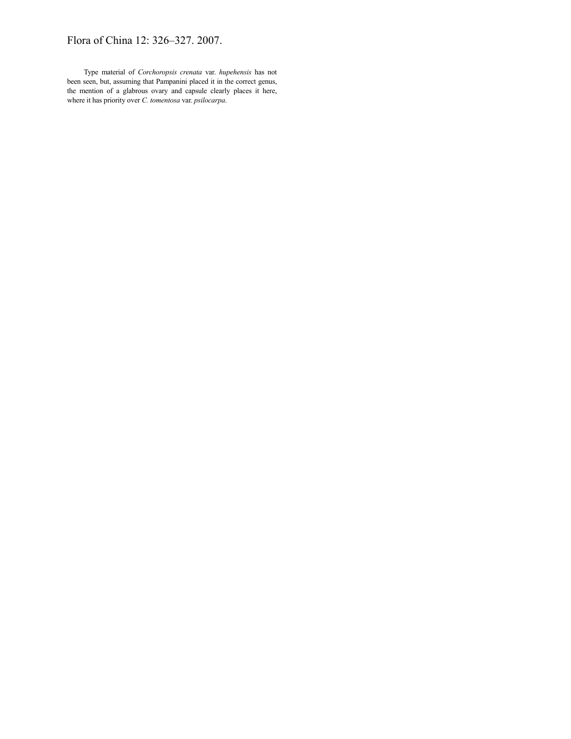# Flora of China 12: 326–327. 2007.

Type material of *Corchoropsis crenata* var. *hupehensis* has not been seen, but, assuming that Pampanini placed it in the correct genus, the mention of a glabrous ovary and capsule clearly places it here, where it has priority over *C. tomentosa* var. *psilocarpa*.